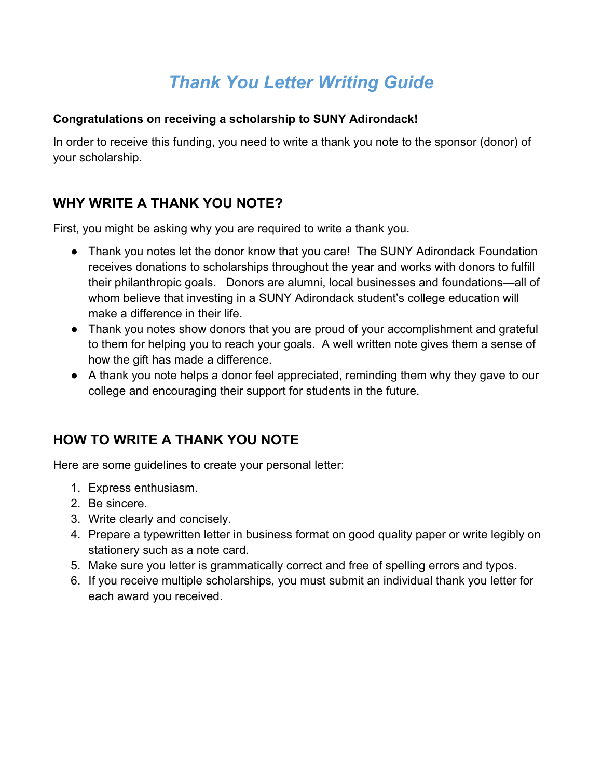# *Thank You Letter Writing Guide*

#### **Congratulations on receiving a scholarship to SUNY Adirondack!**

In order to receive this funding, you need to write a thank you note to the sponsor (donor) of your scholarship.

# **WHY WRITE A THANK YOU NOTE?**

First, you might be asking why you are required to write a thank you.

- Thank you notes let the donor know that you care! The SUNY Adirondack Foundation receives donations to scholarships throughout the year and works with donors to fulfill their philanthropic goals. Donors are alumni, local businesses and foundations—all of whom believe that investing in a SUNY Adirondack student's college education will make a difference in their life.
- Thank you notes show donors that you are proud of your accomplishment and grateful to them for helping you to reach your goals. A well written note gives them a sense of how the gift has made a difference.
- A thank you note helps a donor feel appreciated, reminding them why they gave to our college and encouraging their support for students in the future.

# **HOW TO WRITE A THANK YOU NOTE**

Here are some guidelines to create your personal letter:

- 1. Express enthusiasm.
- 2. Be sincere.
- 3. Write clearly and concisely.
- 4. Prepare a typewritten letter in business format on good quality paper or write legibly on stationery such as a note card.
- 5. Make sure you letter is grammatically correct and free of spelling errors and typos.
- 6. If you receive multiple scholarships, you must submit an individual thank you letter for each award you received.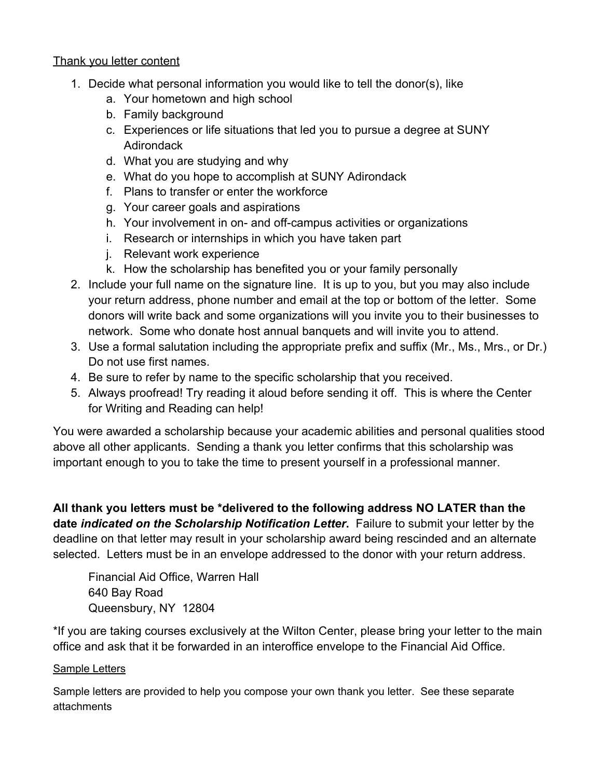#### Thank you letter content

- 1. Decide what personal information you would like to tell the donor(s), like
	- a. Your hometown and high school
	- b. Family background
	- c. Experiences or life situations that led you to pursue a degree at SUNY **Adirondack**
	- d. What you are studying and why
	- e. What do you hope to accomplish at SUNY Adirondack
	- f. Plans to transfer or enter the workforce
	- g. Your career goals and aspirations
	- h. Your involvement in on- and off-campus activities or organizations
	- i. Research or internships in which you have taken part
	- j. Relevant work experience
	- k. How the scholarship has benefited you or your family personally
- 2. Include your full name on the signature line. It is up to you, but you may also include your return address, phone number and email at the top or bottom of the letter. Some donors will write back and some organizations will you invite you to their businesses to network. Some who donate host annual banquets and will invite you to attend.
- 3. Use a formal salutation including the appropriate prefix and suffix (Mr., Ms., Mrs., or Dr.) Do not use first names.
- 4. Be sure to refer by name to the specific scholarship that you received.
- 5. Always proofread! Try reading it aloud before sending it off. This is where the Center for Writing and Reading can help!

You were awarded a scholarship because your academic abilities and personal qualities stood above all other applicants. Sending a thank you letter confirms that this scholarship was important enough to you to take the time to present yourself in a professional manner.

**All thank you letters must be \*delivered to the following address NO LATER than the date** *indicated on the Scholarship Notification Letter***.** Failure to submit your letter by the deadline on that letter may result in your scholarship award being rescinded and an alternate selected. Letters must be in an envelope addressed to the donor with your return address.

Financial Aid Office, Warren Hall 640 Bay Road Queensbury, NY 12804

\*If you are taking courses exclusively at the Wilton Center, please bring your letter to the main office and ask that it be forwarded in an interoffice envelope to the Financial Aid Office.

#### Sample Letters

Sample letters are provided to help you compose your own thank you letter. See these separate attachments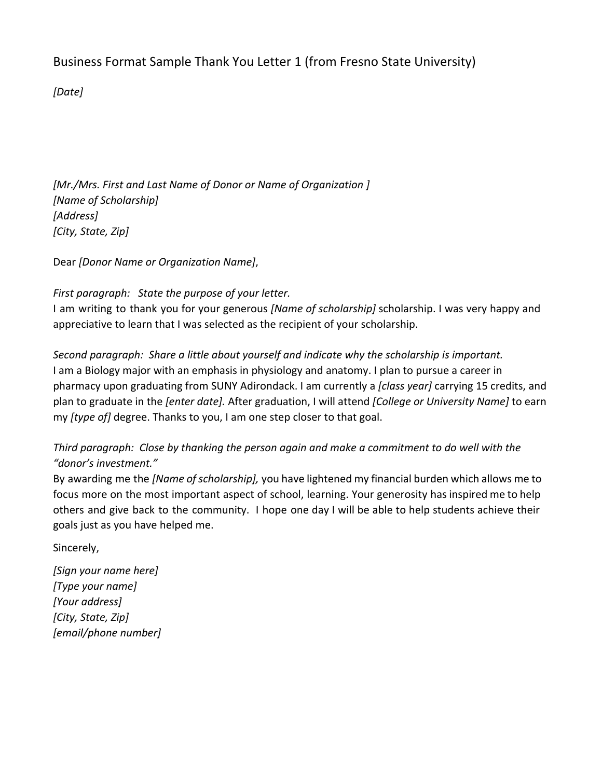### Business Format Sample Thank You Letter 1 (from Fresno State University)

*[Date]*

*[Mr./Mrs. First and Last Name of Donor or Name of Organization ] [Name of Scholarship] [Address] [City, State, Zip]*

Dear *[Donor Name or Organization Name]*,

#### *First paragraph: State the purpose of your letter.*

I am writing to thank you for your generous *[Name of scholarship]* scholarship. I was very happy and appreciative to learn that I was selected as the recipient of your scholarship.

*Second paragraph: Share a little about yourself and indicate why the scholarship is important.* I am a Biology major with an emphasis in physiology and anatomy. I plan to pursue a career in pharmacy upon graduating from SUNY Adirondack. I am currently a *[class year]* carrying 15 credits, and plan to graduate in the *[enter date].* After graduation, I will attend *[College or University Name]* to earn my *[type of]* degree. Thanks to you, I am one step closer to that goal.

#### *Third paragraph: Close by thanking the person again and make a commitment to do well with the "donor's investment."*

By awarding me the *[Name ofscholarship],* you have lightened my financial burden which allows me to focus more on the most important aspect of school, learning. Your generosity has inspired me to help others and give back to the community. I hope one day I will be able to help students achieve their goals just as you have helped me.

Sincerely,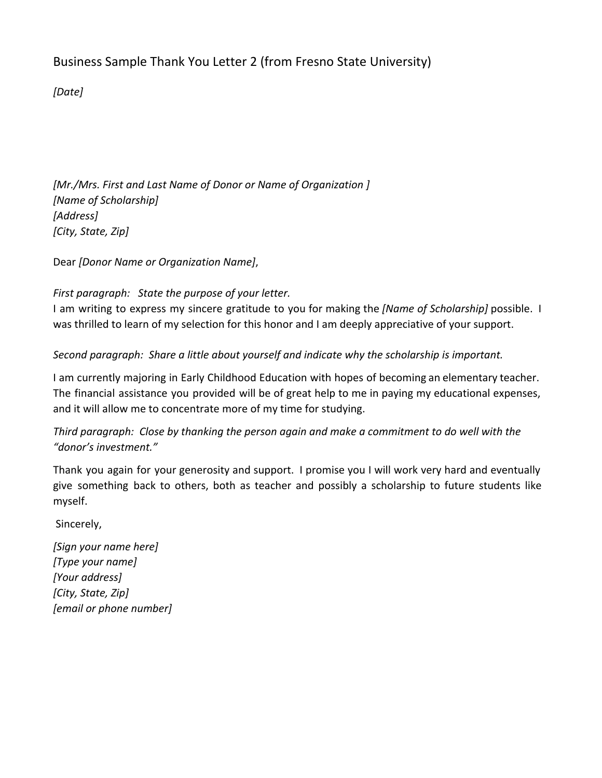# Business Sample Thank You Letter 2 (from Fresno State University)

*[Date]*

*[Mr./Mrs. First and Last Name of Donor or Name of Organization ] [Name of Scholarship] [Address] [City, State, Zip]*

Dear *[Donor Name or Organization Name]*,

*First paragraph: State the purpose of your letter.*

I am writing to express my sincere gratitude to you for making the *[Name of Scholarship]* possible. I was thrilled to learn of my selection for this honor and I am deeply appreciative of your support.

*Second paragraph: Share a little about yourself and indicate why the scholarship is important.*

I am currently majoring in Early Childhood Education with hopes of becoming an elementary teacher. The financial assistance you provided will be of great help to me in paying my educational expenses, and it will allow me to concentrate more of my time for studying.

*Third paragraph: Close by thanking the person again and make a commitment to do well with the "donor's investment."*

Thank you again for your generosity and support. I promise you I will work very hard and eventually give something back to others, both as teacher and possibly a scholarship to future students like myself.

Sincerely,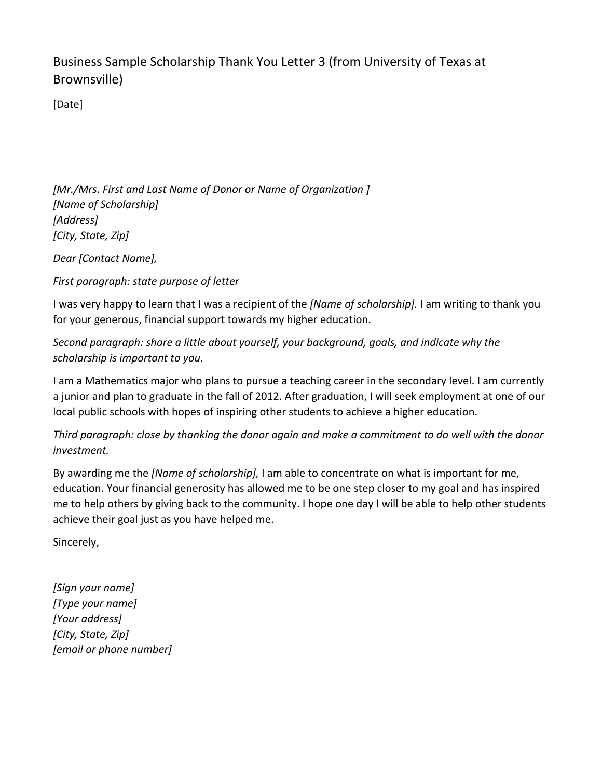Business Sample Scholarship Thank You Letter 3 (from University of Texas at Brownsville)

[Date]

*[Mr./Mrs. First and Last Name of Donor or Name of Organization ] [Name of Scholarship] [Address] [City, State, Zip]*

*Dear [Contact Name],*

*First paragraph: state purpose of letter*

I was very happy to learn that I was a recipient of the *[Name of scholarship].* I am writing to thank you for your generous, financial support towards my higher education.

*Second paragraph: share a little about yourself, your background, goals, and indicate why the scholarship is important to you.*

I am a Mathematics major who plans to pursue a teaching career in the secondary level. I am currently a junior and plan to graduate in the fall of 2012. After graduation, I will seek employment at one of our local public schools with hopes of inspiring other students to achieve a higher education.

*Third paragraph: close by thanking the donor again and make a commitment to do well with the donor investment.*

By awarding me the *[Name of scholarship],* I am able to concentrate on what is important for me, education. Your financial generosity has allowed me to be one step closer to my goal and has inspired me to help others by giving back to the community. I hope one day I will be able to help other students achieve their goal just as you have helped me.

Sincerely,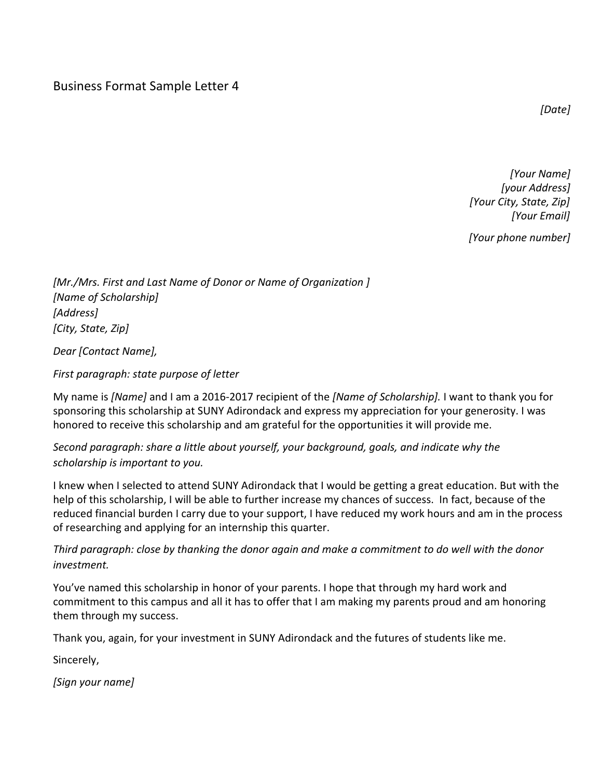#### Business Format Sample Letter 4

*[Date]*

*[Your Name] [your Address] [Your City, State, Zip] [Your Email]*

*[Your phone number]*

*[Mr./Mrs. First and Last Name of Donor or Name of Organization ] [Name of Scholarship] [Address] [City, State, Zip]*

*Dear [Contact Name],*

*First paragraph: state purpose of letter*

My name is *[Name]* and I am a 2016-2017 recipient of the *[Name of Scholarship]*. I want to thank you for sponsoring this scholarship at SUNY Adirondack and express my appreciation for your generosity. I was honored to receive this scholarship and am grateful for the opportunities it will provide me.

*Second paragraph: share a little about yourself, your background, goals, and indicate why the scholarship is important to you.*

I knew when I selected to attend SUNY Adirondack that I would be getting a great education. But with the help of this scholarship, I will be able to further increase my chances of success. In fact, because of the reduced financial burden I carry due to your support, I have reduced my work hours and am in the process of researching and applying for an internship this quarter.

*Third paragraph: close by thanking the donor again and make a commitment to do well with the donor investment.*

You've named this scholarship in honor of your parents. I hope that through my hard work and commitment to this campus and all it has to offer that I am making my parents proud and am honoring them through my success.

Thank you, again, for your investment in SUNY Adirondack and the futures of students like me.

Sincerely,

*[Sign your name]*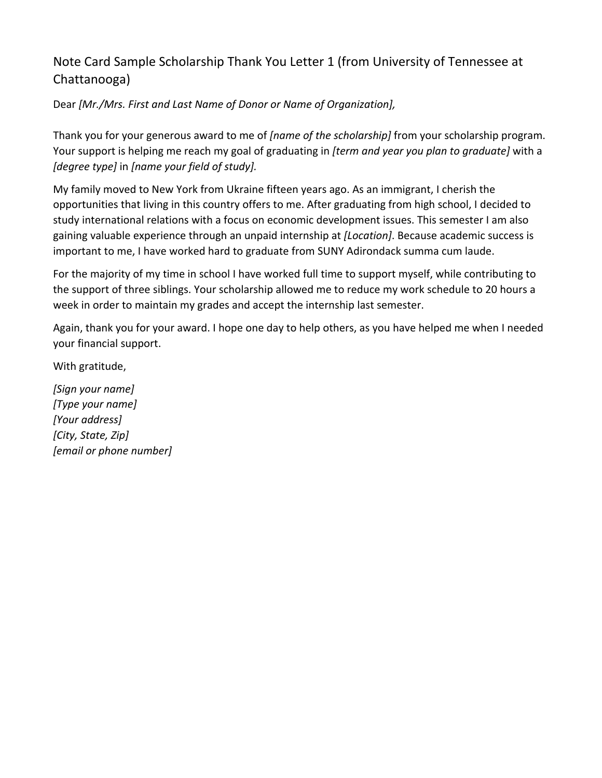# Note Card Sample Scholarship Thank You Letter 1 (from University of Tennessee at Chattanooga)

Dear *[Mr./Mrs. First and Last Name of Donor or Name of Organization],*

Thank you for your generous award to me of *[name of the scholarship]* from your scholarship program. Your support is helping me reach my goal of graduating in *[term and year you plan to graduate]* with a *[degree type]* in *[name your field of study].*

My family moved to New York from Ukraine fifteen years ago. As an immigrant, I cherish the opportunities that living in this country offers to me. After graduating from high school, I decided to study international relations with a focus on economic development issues. This semester I am also gaining valuable experience through an unpaid internship at *[Location]*. Because academic success is important to me, I have worked hard to graduate from SUNY Adirondack summa cum laude.

For the majority of my time in school I have worked full time to support myself, while contributing to the support of three siblings. Your scholarship allowed me to reduce my work schedule to 20 hours a week in order to maintain my grades and accept the internship last semester.

Again, thank you for your award. I hope one day to help others, as you have helped me when I needed your financial support.

With gratitude,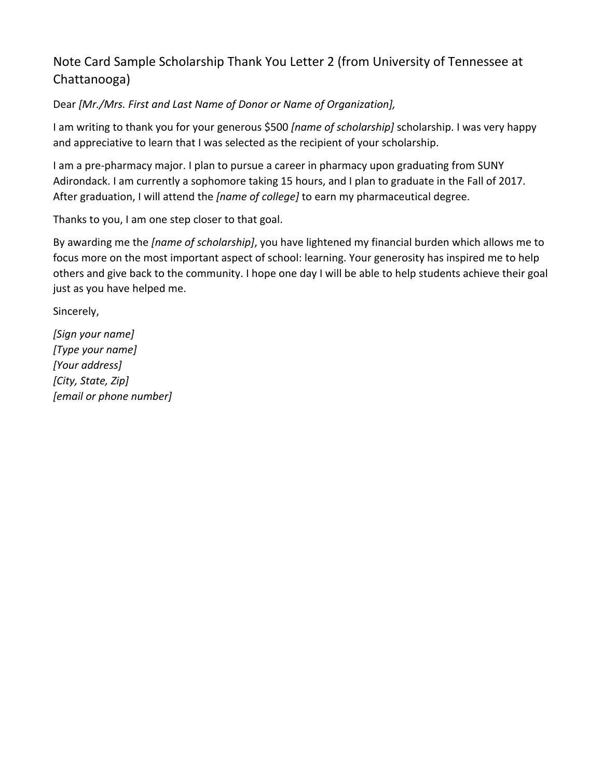# Note Card Sample Scholarship Thank You Letter 2 (from University of Tennessee at Chattanooga)

Dear *[Mr./Mrs. First and Last Name of Donor or Name of Organization],*

I am writing to thank you for your generous \$500 *[name of scholarship]* scholarship. I was very happy and appreciative to learn that I was selected as the recipient of your scholarship.

I am a pre-pharmacy major. I plan to pursue a career in pharmacy upon graduating from SUNY Adirondack. I am currently a sophomore taking 15 hours, and I plan to graduate in the Fall of 2017. After graduation, I will attend the *[name of college]* to earn my pharmaceutical degree.

Thanks to you, I am one step closer to that goal.

By awarding me the *[name of scholarship]*, you have lightened my financial burden which allows me to focus more on the most important aspect of school: learning. Your generosity has inspired me to help others and give back to the community. I hope one day I will be able to help students achieve their goal just as you have helped me.

Sincerely,